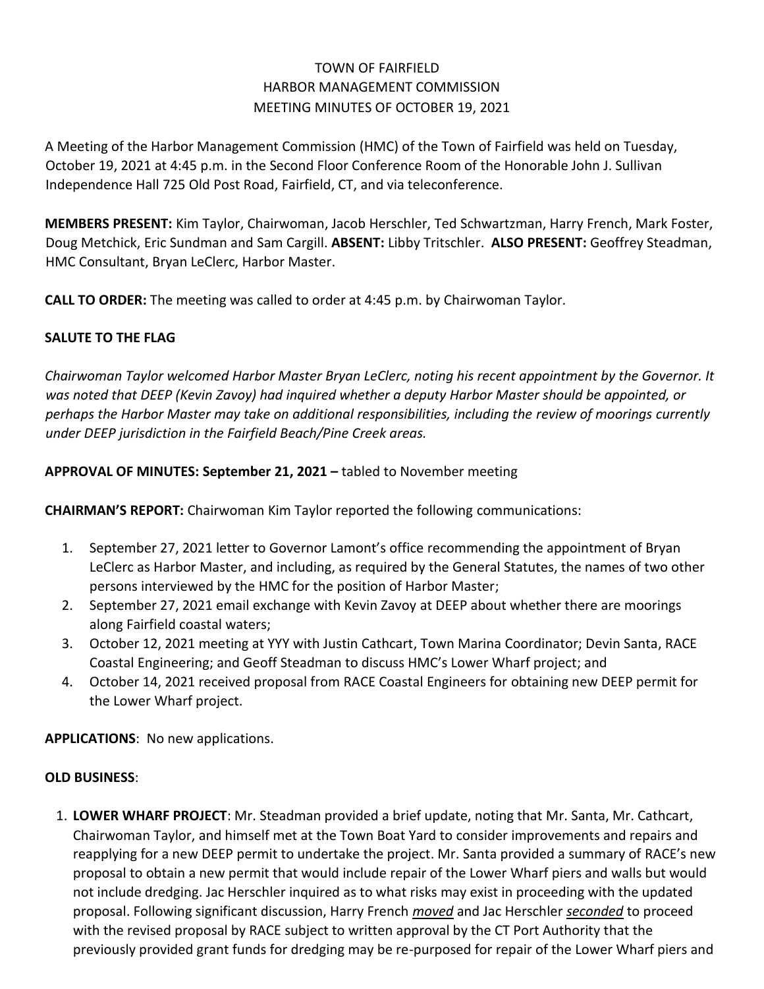# TOWN OF FAIRFIELD HARBOR MANAGEMENT COMMISSION MEETING MINUTES OF OCTOBER 19, 2021

A Meeting of the Harbor Management Commission (HMC) of the Town of Fairfield was held on Tuesday, October 19, 2021 at 4:45 p.m. in the Second Floor Conference Room of the Honorable John J. Sullivan Independence Hall 725 Old Post Road, Fairfield, CT, and via teleconference.

**MEMBERS PRESENT:** Kim Taylor, Chairwoman, Jacob Herschler, Ted Schwartzman, Harry French, Mark Foster, Doug Metchick, Eric Sundman and Sam Cargill. **ABSENT:** Libby Tritschler. **ALSO PRESENT:** Geoffrey Steadman, HMC Consultant, Bryan LeClerc, Harbor Master.

**CALL TO ORDER:** The meeting was called to order at 4:45 p.m. by Chairwoman Taylor.

## **SALUTE TO THE FLAG**

*Chairwoman Taylor welcomed Harbor Master Bryan LeClerc, noting his recent appointment by the Governor. It was noted that DEEP (Kevin Zavoy) had inquired whether a deputy Harbor Master should be appointed, or perhaps the Harbor Master may take on additional responsibilities, including the review of moorings currently under DEEP jurisdiction in the Fairfield Beach/Pine Creek areas.*

## **APPROVAL OF MINUTES: September 21, 2021 –** tabled to November meeting

**CHAIRMAN'S REPORT:** Chairwoman Kim Taylor reported the following communications:

- 1. September 27, 2021 letter to Governor Lamont's office recommending the appointment of Bryan LeClerc as Harbor Master, and including, as required by the General Statutes, the names of two other persons interviewed by the HMC for the position of Harbor Master;
- 2. September 27, 2021 email exchange with Kevin Zavoy at DEEP about whether there are moorings along Fairfield coastal waters;
- 3. October 12, 2021 meeting at YYY with Justin Cathcart, Town Marina Coordinator; Devin Santa, RACE Coastal Engineering; and Geoff Steadman to discuss HMC's Lower Wharf project; and
- 4. October 14, 2021 received proposal from RACE Coastal Engineers for obtaining new DEEP permit for the Lower Wharf project.

**APPLICATIONS**: No new applications.

#### **OLD BUSINESS**:

1. **LOWER WHARF PROJECT**: Mr. Steadman provided a brief update, noting that Mr. Santa, Mr. Cathcart, Chairwoman Taylor, and himself met at the Town Boat Yard to consider improvements and repairs and reapplying for a new DEEP permit to undertake the project. Mr. Santa provided a summary of RACE's new proposal to obtain a new permit that would include repair of the Lower Wharf piers and walls but would not include dredging. Jac Herschler inquired as to what risks may exist in proceeding with the updated proposal. Following significant discussion, Harry French *moved* and Jac Herschler *seconded* to proceed with the revised proposal by RACE subject to written approval by the CT Port Authority that the previously provided grant funds for dredging may be re-purposed for repair of the Lower Wharf piers and